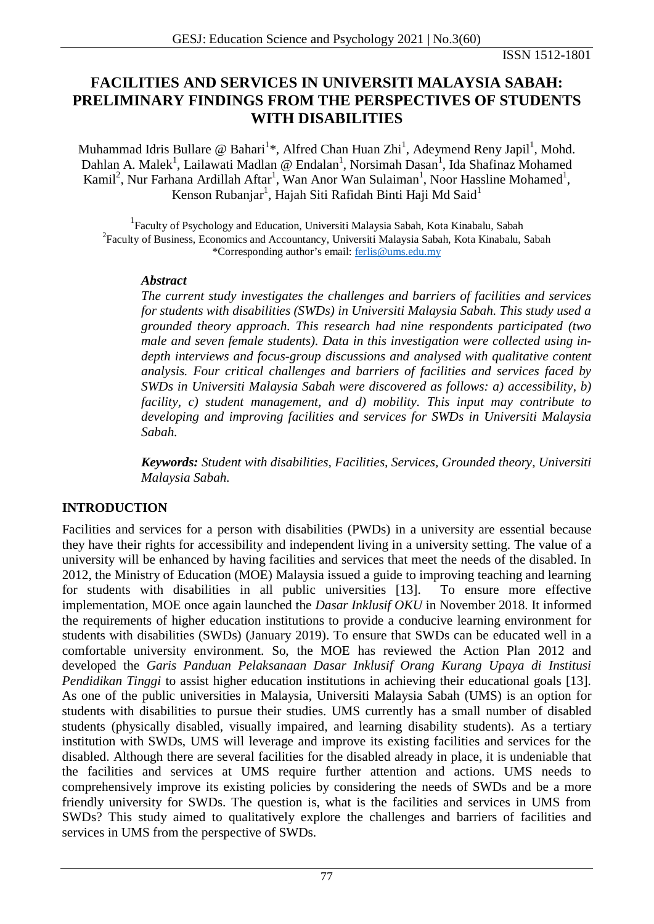# **FACILITIES AND SERVICES IN UNIVERSITI MALAYSIA SABAH: PRELIMINARY FINDINGS FROM THE PERSPECTIVES OF STUDENTS WITH DISABILITIES**

Muhammad Idris Bullare @ Bahari<sup>1\*</sup>, Alfred Chan Huan Zhi<sup>1</sup>, Adeymend Reny Japil<sup>1</sup>, Mohd. Dahlan A. Malek<sup>1</sup>, Lailawati Madlan @ Endalan<sup>1</sup>, Norsimah Dasan<sup>1</sup>, Ida Shafinaz Mohamed Kamil<sup>2</sup>, Nur Farhana Ardillah Aftar<sup>1</sup>, Wan Anor Wan Sulaiman<sup>1</sup>, Noor Hassline Mohamed<sup>1</sup>, Kenson Rubanjar $^1$ , Hajah Siti Rafidah Binti Haji Md Said $^1$ 

<sup>1</sup>Faculty of Psychology and Education, Universiti Malaysia Sabah, Kota Kinabalu, Sabah <sup>2</sup>Faculty of Business, Economics and Accountancy, Universiti Malaysia Sabah, Kota Kinabalu, Sabah \*Corresponding author's email: [ferlis@ums.edu.my](mailto:ferlis@ums.edu.my)

#### *Abstract*

*The current study investigates the challenges and barriers of facilities and services for students with disabilities (SWDs) in Universiti Malaysia Sabah. This study used a grounded theory approach. This research had nine respondents participated (two male and seven female students). Data in this investigation were collected using indepth interviews and focus-group discussions and analysed with qualitative content analysis. Four critical challenges and barriers of facilities and services faced by SWDs in Universiti Malaysia Sabah were discovered as follows: a) accessibility, b) facility, c) student management, and d) mobility. This input may contribute to developing and improving facilities and services for SWDs in Universiti Malaysia Sabah.*

*Keywords: Student with disabilities, Facilities, Services, Grounded theory, Universiti Malaysia Sabah.*

# **INTRODUCTION**

Facilities and services for a person with disabilities (PWDs) in a university are essential because they have their rights for accessibility and independent living in a university setting. The value of a university will be enhanced by having facilities and services that meet the needs of the disabled. In 2012, the Ministry of Education (MOE) Malaysia issued a guide to improving teaching and learning for students with disabilities in all public universities [13]. To ensure more effective implementation, MOE once again launched the *Dasar Inklusif OKU* in November 2018. It informed the requirements of higher education institutions to provide a conducive learning environment for students with disabilities (SWDs) (January 2019). To ensure that SWDs can be educated well in a comfortable university environment. So, the MOE has reviewed the Action Plan 2012 and developed the *Garis Panduan Pelaksanaan Dasar Inklusif Orang Kurang Upaya di Institusi Pendidikan Tinggi* to assist higher education institutions in achieving their educational goals [13]. As one of the public universities in Malaysia, Universiti Malaysia Sabah (UMS) is an option for students with disabilities to pursue their studies. UMS currently has a small number of disabled students (physically disabled, visually impaired, and learning disability students). As a tertiary institution with SWDs, UMS will leverage and improve its existing facilities and services for the disabled. Although there are several facilities for the disabled already in place, it is undeniable that the facilities and services at UMS require further attention and actions. UMS needs to comprehensively improve its existing policies by considering the needs of SWDs and be a more friendly university for SWDs. The question is, what is the facilities and services in UMS from SWDs? This study aimed to qualitatively explore the challenges and barriers of facilities and services in UMS from the perspective of SWDs.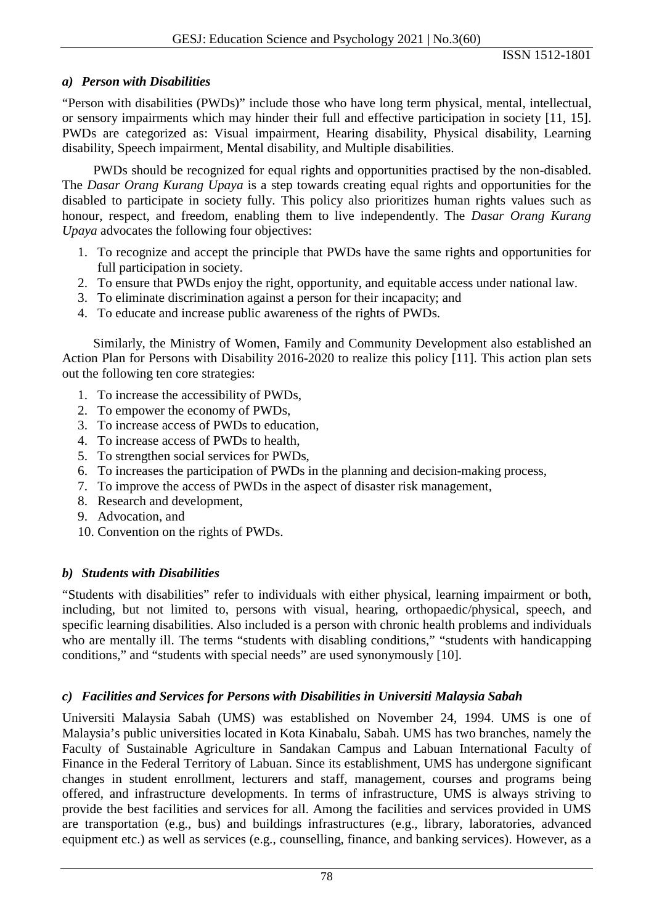## *a) Person with Disabilities*

"Person with disabilities (PWDs)" include those who have long term physical, mental, intellectual, or sensory impairments which may hinder their full and effective participation in society [11, 15]. PWDs are categorized as: Visual impairment, Hearing disability, Physical disability, Learning disability, Speech impairment, Mental disability, and Multiple disabilities.

PWDs should be recognized for equal rights and opportunities practised by the non-disabled. The *Dasar Orang Kurang Upaya* is a step towards creating equal rights and opportunities for the disabled to participate in society fully. This policy also prioritizes human rights values such as honour, respect, and freedom, enabling them to live independently. The *Dasar Orang Kurang Upaya* advocates the following four objectives:

- 1. To recognize and accept the principle that PWDs have the same rights and opportunities for full participation in society.
- 2. To ensure that PWDs enjoy the right, opportunity, and equitable access under national law.
- 3. To eliminate discrimination against a person for their incapacity; and
- 4. To educate and increase public awareness of the rights of PWDs.

Similarly, the Ministry of Women, Family and Community Development also established an Action Plan for Persons with Disability 2016-2020 to realize this policy [11]. This action plan sets out the following ten core strategies:

- 1. To increase the accessibility of PWDs,
- 2. To empower the economy of PWDs,
- 3. To increase access of PWDs to education,
- 4. To increase access of PWDs to health,
- 5. To strengthen social services for PWDs,
- 6. To increases the participation of PWDs in the planning and decision-making process,
- 7. To improve the access of PWDs in the aspect of disaster risk management,
- 8. Research and development,
- 9. Advocation, and
- 10. Convention on the rights of PWDs.

# *b) Students with Disabilities*

"Students with disabilities" refer to individuals with either physical, learning impairment or both, including, but not limited to, persons with visual, hearing, orthopaedic/physical, speech, and specific learning disabilities. Also included is a person with chronic health problems and individuals who are mentally ill. The terms "students with disabling conditions," "students with handicapping conditions," and "students with special needs" are used synonymously [10].

# *c) Facilities and Services for Persons with Disabilities in Universiti Malaysia Sabah*

Universiti Malaysia Sabah (UMS) was established on November 24, 1994. UMS is one of Malaysia's public universities located in Kota Kinabalu, Sabah. UMS has two branches, namely the Faculty of Sustainable Agriculture in Sandakan Campus and Labuan International Faculty of Finance in the Federal Territory of Labuan. Since its establishment, UMS has undergone significant changes in student enrollment, lecturers and staff, management, courses and programs being offered, and infrastructure developments. In terms of infrastructure, UMS is always striving to provide the best facilities and services for all. Among the facilities and services provided in UMS are transportation (e.g., bus) and buildings infrastructures (e.g., library, laboratories, advanced equipment etc.) as well as services (e.g., counselling, finance, and banking services). However, as a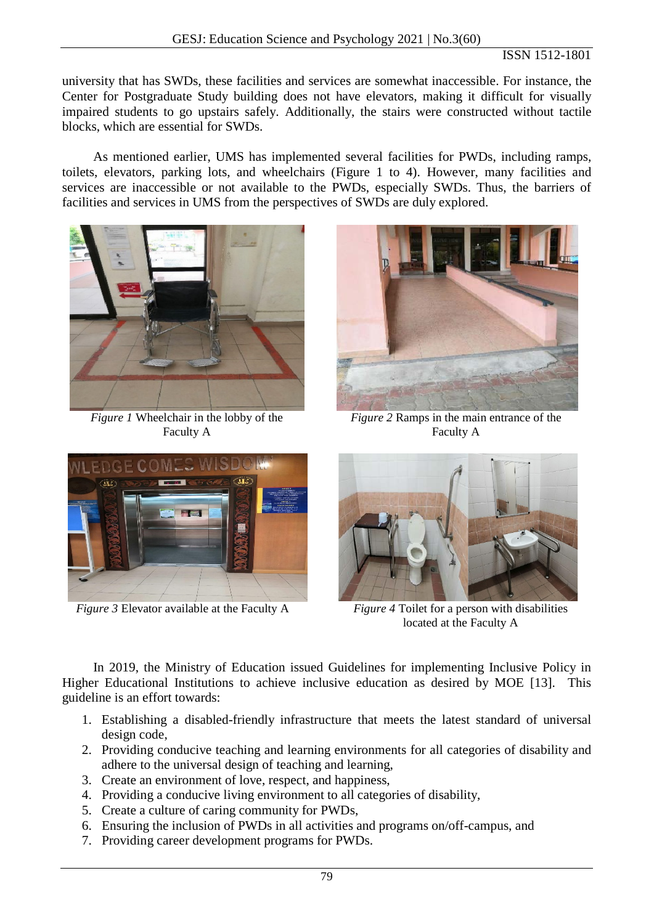university that has SWDs, these facilities and services are somewhat inaccessible. For instance, the Center for Postgraduate Study building does not have elevators, making it difficult for visually impaired students to go upstairs safely. Additionally, the stairs were constructed without tactile blocks, which are essential for SWDs.

As mentioned earlier, UMS has implemented several facilities for PWDs, including ramps, toilets, elevators, parking lots, and wheelchairs (Figure 1 to 4). However, many facilities and services are inaccessible or not available to the PWDs, especially SWDs. Thus, the barriers of facilities and services in UMS from the perspectives of SWDs are duly explored.



*Figure 1* Wheelchair in the lobby of the Faculty A



*Figure 2* Ramps in the main entrance of the Faculty A



*Figure 3* Elevator available at the Faculty A *Figure 4* Toilet for a person with disabilities



located at the Faculty A

In 2019, the Ministry of Education issued Guidelines for implementing Inclusive Policy in Higher Educational Institutions to achieve inclusive education as desired by MOE [13]. This guideline is an effort towards:

- 1. Establishing a disabled-friendly infrastructure that meets the latest standard of universal design code,
- 2. Providing conducive teaching and learning environments for all categories of disability and adhere to the universal design of teaching and learning,
- 3. Create an environment of love, respect, and happiness,
- 4. Providing a conducive living environment to all categories of disability,
- 5. Create a culture of caring community for PWDs,
- 6. Ensuring the inclusion of PWDs in all activities and programs on/off-campus, and
- 7. Providing career development programs for PWDs.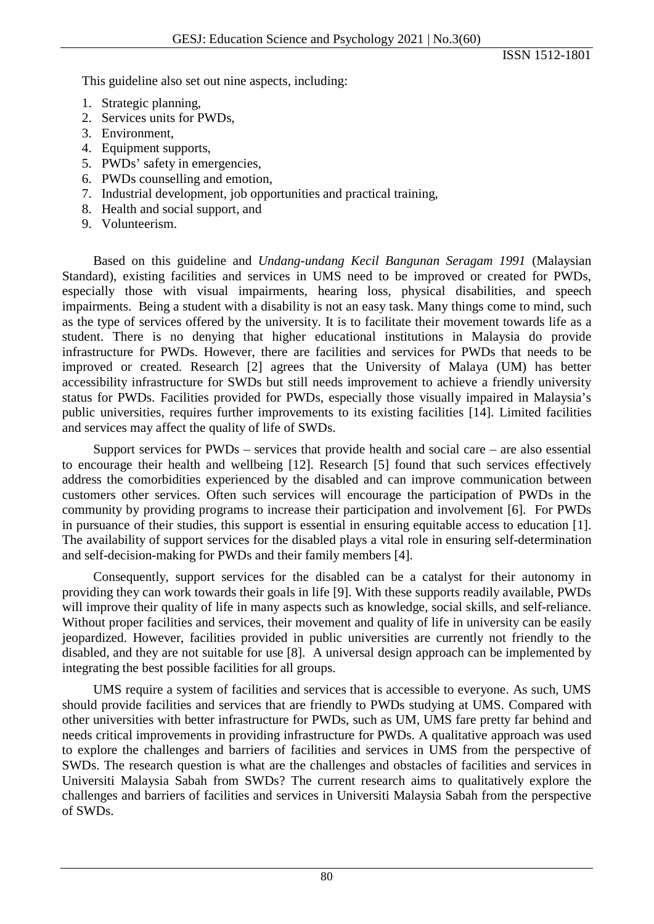This guideline also set out nine aspects, including:

- 1. Strategic planning,
- 2. Services units for PWDs,
- 3. Environment,
- 4. Equipment supports,
- 5. PWDs' safety in emergencies,
- 6. PWDs counselling and emotion,
- 7. Industrial development, job opportunities and practical training,
- 8. Health and social support, and
- 9. Volunteerism.

Based on this guideline and *Undang-undang Kecil Bangunan Seragam 1991* (Malaysian Standard), existing facilities and services in UMS need to be improved or created for PWDs, especially those with visual impairments, hearing loss, physical disabilities, and speech impairments. Being a student with a disability is not an easy task. Many things come to mind, such as the type of services offered by the university. It is to facilitate their movement towards life as a student. There is no denying that higher educational institutions in Malaysia do provide infrastructure for PWDs. However, there are facilities and services for PWDs that needs to be improved or created. Research [2] agrees that the University of Malaya (UM) has better accessibility infrastructure for SWDs but still needs improvement to achieve a friendly university status for PWDs. Facilities provided for PWDs, especially those visually impaired in Malaysia's public universities, requires further improvements to its existing facilities [14]. Limited facilities and services may affect the quality of life of SWDs.

Support services for PWDs – services that provide health and social care – are also essential to encourage their health and wellbeing [12]. Research [5] found that such services effectively address the comorbidities experienced by the disabled and can improve communication between customers other services. Often such services will encourage the participation of PWDs in the community by providing programs to increase their participation and involvement [6]. For PWDs in pursuance of their studies, this support is essential in ensuring equitable access to education [1]. The availability of support services for the disabled plays a vital role in ensuring self-determination and self-decision-making for PWDs and their family members [4].

Consequently, support services for the disabled can be a catalyst for their autonomy in providing they can work towards their goals in life [9]. With these supports readily available, PWDs will improve their quality of life in many aspects such as knowledge, social skills, and self-reliance. Without proper facilities and services, their movement and quality of life in university can be easily jeopardized. However, facilities provided in public universities are currently not friendly to the disabled, and they are not suitable for use [8]. A universal design approach can be implemented by integrating the best possible facilities for all groups.

UMS require a system of facilities and services that is accessible to everyone. As such, UMS should provide facilities and services that are friendly to PWDs studying at UMS. Compared with other universities with better infrastructure for PWDs, such as UM, UMS fare pretty far behind and needs critical improvements in providing infrastructure for PWDs. A qualitative approach was used to explore the challenges and barriers of facilities and services in UMS from the perspective of SWDs. The research question is what are the challenges and obstacles of facilities and services in Universiti Malaysia Sabah from SWDs? The current research aims to qualitatively explore the challenges and barriers of facilities and services in Universiti Malaysia Sabah from the perspective of SWDs.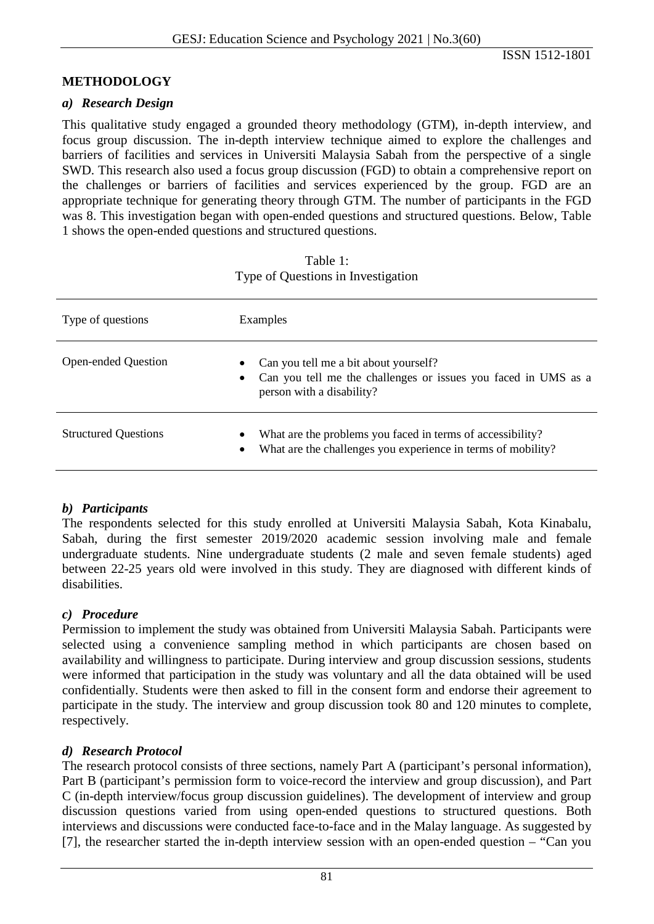## **METHODOLOGY**

#### *a) Research Design*

This qualitative study engaged a grounded theory methodology (GTM), in-depth interview, and focus group discussion. The in-depth interview technique aimed to explore the challenges and barriers of facilities and services in Universiti Malaysia Sabah from the perspective of a single SWD. This research also used a focus group discussion (FGD) to obtain a comprehensive report on the challenges or barriers of facilities and services experienced by the group. FGD are an appropriate technique for generating theory through GTM. The number of participants in the FGD was 8. This investigation began with open-ended questions and structured questions. Below, Table 1 shows the open-ended questions and structured questions.

| Type of questions           | Examples                                                                                                                                             |
|-----------------------------|------------------------------------------------------------------------------------------------------------------------------------------------------|
| <b>Open-ended Question</b>  | Can you tell me a bit about yourself?<br>Can you tell me the challenges or issues you faced in UMS as a<br>$\bullet$<br>person with a disability?    |
| <b>Structured Questions</b> | What are the problems you faced in terms of accessibility?<br>$\bullet$<br>What are the challenges you experience in terms of mobility?<br>$\bullet$ |

#### Table 1: Type of Questions in Investigation

## *b) Participants*

The respondents selected for this study enrolled at Universiti Malaysia Sabah, Kota Kinabalu, Sabah, during the first semester 2019/2020 academic session involving male and female undergraduate students. Nine undergraduate students (2 male and seven female students) aged between 22-25 years old were involved in this study. They are diagnosed with different kinds of disabilities.

#### *c) Procedure*

Permission to implement the study was obtained from Universiti Malaysia Sabah. Participants were selected using a convenience sampling method in which participants are chosen based on availability and willingness to participate. During interview and group discussion sessions, students were informed that participation in the study was voluntary and all the data obtained will be used confidentially. Students were then asked to fill in the consent form and endorse their agreement to participate in the study. The interview and group discussion took 80 and 120 minutes to complete, respectively.

#### *d) Research Protocol*

The research protocol consists of three sections, namely Part A (participant's personal information), Part B (participant's permission form to voice-record the interview and group discussion), and Part C (in-depth interview/focus group discussion guidelines). The development of interview and group discussion questions varied from using open-ended questions to structured questions. Both interviews and discussions were conducted face-to-face and in the Malay language. As suggested by [7], the researcher started the in-depth interview session with an open-ended question – "Can you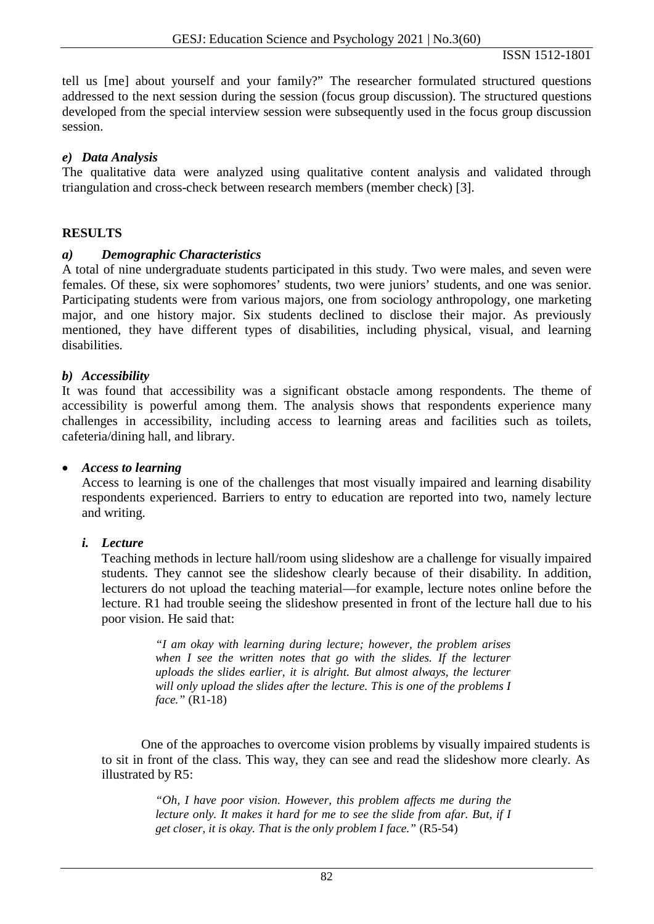tell us [me] about yourself and your family?" The researcher formulated structured questions addressed to the next session during the session (focus group discussion). The structured questions developed from the special interview session were subsequently used in the focus group discussion session.

## *e) Data Analysis*

The qualitative data were analyzed using qualitative content analysis and validated through triangulation and cross-check between research members (member check) [3].

#### **RESULTS**

#### *a) Demographic Characteristics*

A total of nine undergraduate students participated in this study. Two were males, and seven were females. Of these, six were sophomores' students, two were juniors' students, and one was senior. Participating students were from various majors, one from sociology anthropology, one marketing major, and one history major. Six students declined to disclose their major. As previously mentioned, they have different types of disabilities, including physical, visual, and learning disabilities.

## *b) Accessibility*

It was found that accessibility was a significant obstacle among respondents. The theme of accessibility is powerful among them. The analysis shows that respondents experience many challenges in accessibility, including access to learning areas and facilities such as toilets, cafeteria/dining hall, and library.

#### • *Access to learning*

Access to learning is one of the challenges that most visually impaired and learning disability respondents experienced. Barriers to entry to education are reported into two, namely lecture and writing.

#### *i. Lecture*

Teaching methods in lecture hall/room using slideshow are a challenge for visually impaired students. They cannot see the slideshow clearly because of their disability. In addition, lecturers do not upload the teaching material—for example, lecture notes online before the lecture. R1 had trouble seeing the slideshow presented in front of the lecture hall due to his poor vision. He said that:

> *"I am okay with learning during lecture; however, the problem arises when I see the written notes that go with the slides. If the lecturer uploads the slides earlier, it is alright. But almost always, the lecturer will only upload the slides after the lecture. This is one of the problems I face."* (R1-18)

One of the approaches to overcome vision problems by visually impaired students is to sit in front of the class. This way, they can see and read the slideshow more clearly. As illustrated by R5:

> *"Oh, I have poor vision. However, this problem affects me during the lecture only. It makes it hard for me to see the slide from afar. But, if I get closer, it is okay. That is the only problem I face."* (R5-54)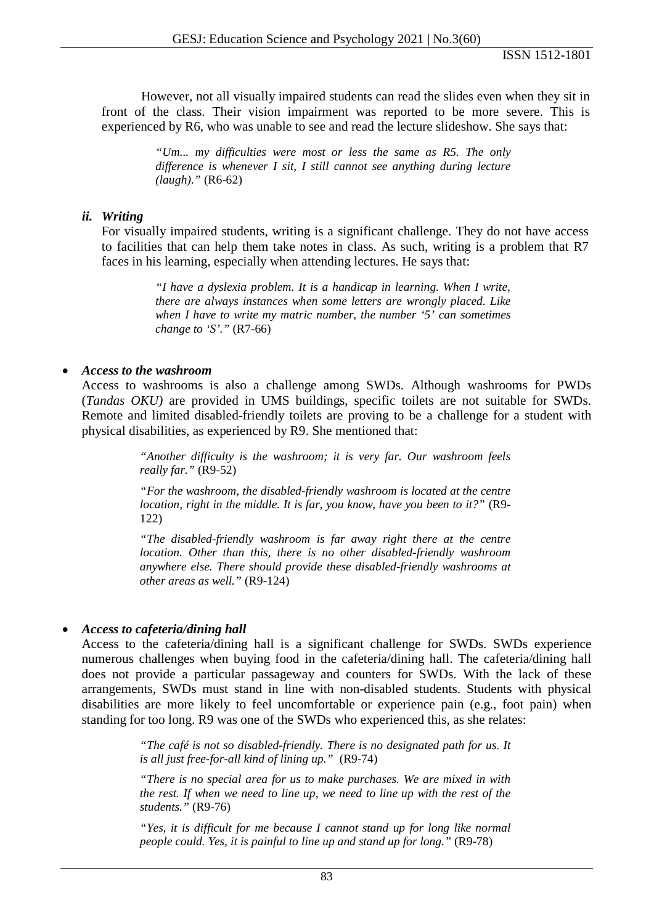However, not all visually impaired students can read the slides even when they sit in front of the class. Their vision impairment was reported to be more severe. This is experienced by R6, who was unable to see and read the lecture slideshow. She says that:

> *"Um... my difficulties were most or less the same as R5. The only difference is whenever I sit, I still cannot see anything during lecture (laugh)."* (R6-62)

## *ii. Writing*

For visually impaired students, writing is a significant challenge. They do not have access to facilities that can help them take notes in class. As such, writing is a problem that R7 faces in his learning, especially when attending lectures. He says that:

> *"I have a dyslexia problem. It is a handicap in learning. When I write, there are always instances when some letters are wrongly placed. Like when I have to write my matric number, the number '5' can sometimes change to 'S'."* (R7-66)

## • *Access to the washroom*

Access to washrooms is also a challenge among SWDs. Although washrooms for PWDs (*Tandas OKU)* are provided in UMS buildings, specific toilets are not suitable for SWDs. Remote and limited disabled-friendly toilets are proving to be a challenge for a student with physical disabilities, as experienced by R9. She mentioned that:

> *"Another difficulty is the washroom; it is very far. Our washroom feels really far."* (R9-52)

> *"For the washroom, the disabled-friendly washroom is located at the centre location, right in the middle. It is far, you know, have you been to it?"* (R9- 122)

> *"The disabled-friendly washroom is far away right there at the centre location. Other than this, there is no other disabled-friendly washroom anywhere else. There should provide these disabled-friendly washrooms at other areas as well."* (R9-124)

## • *Access to cafeteria/dining hall*

Access to the cafeteria/dining hall is a significant challenge for SWDs. SWDs experience numerous challenges when buying food in the cafeteria/dining hall. The cafeteria/dining hall does not provide a particular passageway and counters for SWDs. With the lack of these arrangements, SWDs must stand in line with non-disabled students. Students with physical disabilities are more likely to feel uncomfortable or experience pain (e.g., foot pain) when standing for too long. R9 was one of the SWDs who experienced this, as she relates:

> *"The café is not so disabled-friendly. There is no designated path for us. It is all just free-for-all kind of lining up."* (R9-74)

> *"There is no special area for us to make purchases. We are mixed in with the rest. If when we need to line up, we need to line up with the rest of the students."* (R9-76)

> *"Yes, it is difficult for me because I cannot stand up for long like normal people could. Yes, it is painful to line up and stand up for long."* (R9-78)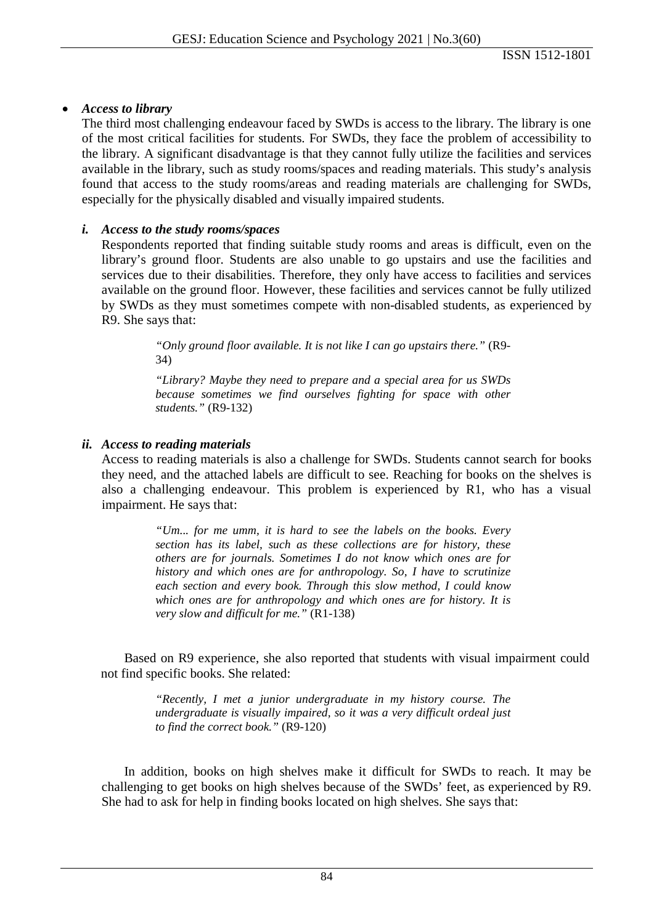## • *Access to library*

The third most challenging endeavour faced by SWDs is access to the library. The library is one of the most critical facilities for students. For SWDs, they face the problem of accessibility to the library. A significant disadvantage is that they cannot fully utilize the facilities and services available in the library, such as study rooms/spaces and reading materials. This study's analysis found that access to the study rooms/areas and reading materials are challenging for SWDs, especially for the physically disabled and visually impaired students.

## *i. Access to the study rooms/spaces*

Respondents reported that finding suitable study rooms and areas is difficult, even on the library's ground floor. Students are also unable to go upstairs and use the facilities and services due to their disabilities. Therefore, they only have access to facilities and services available on the ground floor. However, these facilities and services cannot be fully utilized by SWDs as they must sometimes compete with non-disabled students, as experienced by R9. She says that:

> *"Only ground floor available. It is not like I can go upstairs there."* (R9- 34)

> *"Library? Maybe they need to prepare and a special area for us SWDs because sometimes we find ourselves fighting for space with other students."* (R9-132)

## *ii. Access to reading materials*

Access to reading materials is also a challenge for SWDs. Students cannot search for books they need, and the attached labels are difficult to see. Reaching for books on the shelves is also a challenging endeavour. This problem is experienced by R1, who has a visual impairment. He says that:

> *"Um... for me umm, it is hard to see the labels on the books. Every section has its label, such as these collections are for history, these others are for journals. Sometimes I do not know which ones are for history and which ones are for anthropology. So, I have to scrutinize each section and every book. Through this slow method, I could know which ones are for anthropology and which ones are for history. It is very slow and difficult for me."* (R1-138)

Based on R9 experience, she also reported that students with visual impairment could not find specific books. She related:

> *"Recently, I met a junior undergraduate in my history course. The undergraduate is visually impaired, so it was a very difficult ordeal just to find the correct book."* (R9-120)

In addition, books on high shelves make it difficult for SWDs to reach. It may be challenging to get books on high shelves because of the SWDs' feet, as experienced by R9. She had to ask for help in finding books located on high shelves. She says that: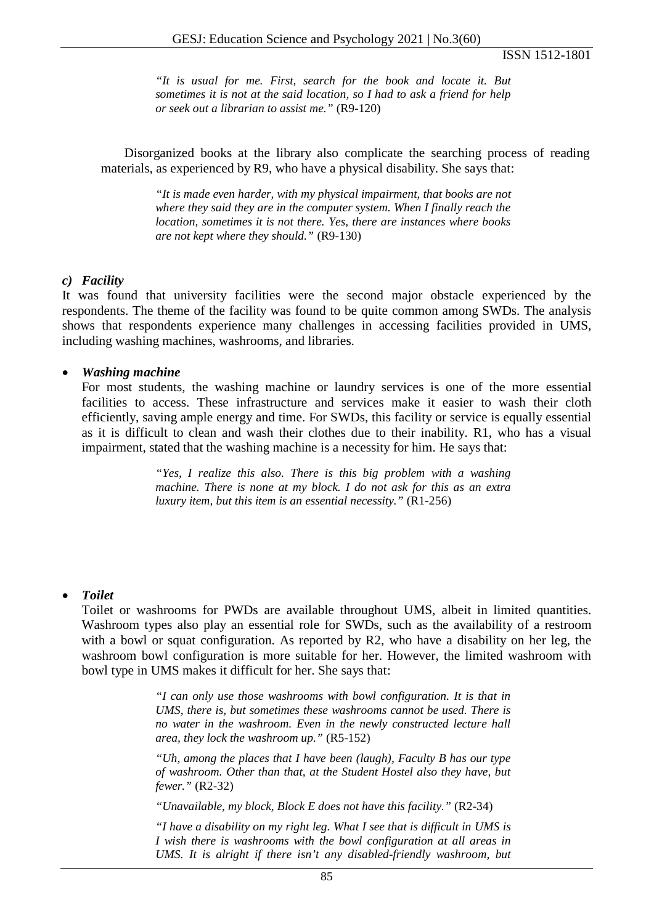*"It is usual for me. First, search for the book and locate it. But sometimes it is not at the said location, so I had to ask a friend for help or seek out a librarian to assist me."* (R9-120)

Disorganized books at the library also complicate the searching process of reading materials, as experienced by R9, who have a physical disability. She says that:

> *"It is made even harder, with my physical impairment, that books are not where they said they are in the computer system. When I finally reach the location, sometimes it is not there. Yes, there are instances where books are not kept where they should."* (R9-130)

#### *c) Facility*

It was found that university facilities were the second major obstacle experienced by the respondents. The theme of the facility was found to be quite common among SWDs. The analysis shows that respondents experience many challenges in accessing facilities provided in UMS, including washing machines, washrooms, and libraries.

#### • *Washing machine*

For most students, the washing machine or laundry services is one of the more essential facilities to access. These infrastructure and services make it easier to wash their cloth efficiently, saving ample energy and time. For SWDs, this facility or service is equally essential as it is difficult to clean and wash their clothes due to their inability. R1, who has a visual impairment, stated that the washing machine is a necessity for him. He says that:

> *"Yes, I realize this also. There is this big problem with a washing machine. There is none at my block. I do not ask for this as an extra luxury item, but this item is an essential necessity."* (R1-256)

#### • *Toilet*

Toilet or washrooms for PWDs are available throughout UMS, albeit in limited quantities. Washroom types also play an essential role for SWDs, such as the availability of a restroom with a bowl or squat configuration. As reported by R2, who have a disability on her leg, the washroom bowl configuration is more suitable for her. However, the limited washroom with bowl type in UMS makes it difficult for her. She says that:

> *"I can only use those washrooms with bowl configuration. It is that in UMS, there is, but sometimes these washrooms cannot be used. There is no water in the washroom. Even in the newly constructed lecture hall area, they lock the washroom up."* (R5-152)

> *"Uh, among the places that I have been (laugh), Faculty B has our type of washroom. Other than that, at the Student Hostel also they have, but fewer."* (R2-32)

*"Unavailable, my block, Block E does not have this facility."* (R2-34)

*"I have a disability on my right leg. What I see that is difficult in UMS is I wish there is washrooms with the bowl configuration at all areas in UMS. It is alright if there isn't any disabled-friendly washroom, but*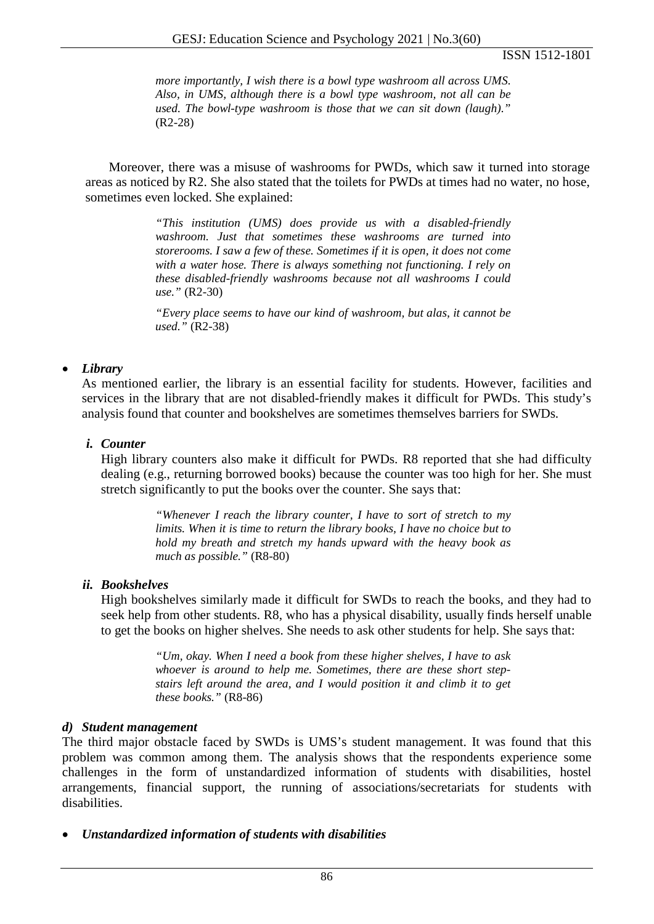*more importantly, I wish there is a bowl type washroom all across UMS. Also, in UMS, although there is a bowl type washroom, not all can be used. The bowl-type washroom is those that we can sit down (laugh)."* (R2-28)

Moreover, there was a misuse of washrooms for PWDs, which saw it turned into storage areas as noticed by R2. She also stated that the toilets for PWDs at times had no water, no hose, sometimes even locked. She explained:

> *"This institution (UMS) does provide us with a disabled-friendly washroom. Just that sometimes these washrooms are turned into storerooms. I saw a few of these. Sometimes if it is open, it does not come with a water hose. There is always something not functioning. I rely on these disabled-friendly washrooms because not all washrooms I could use."* (R2-30)

> *"Every place seems to have our kind of washroom, but alas, it cannot be used."* (R2-38)

## • *Library*

As mentioned earlier, the library is an essential facility for students. However, facilities and services in the library that are not disabled-friendly makes it difficult for PWDs. This study's analysis found that counter and bookshelves are sometimes themselves barriers for SWDs.

## *i. Counter*

High library counters also make it difficult for PWDs. R8 reported that she had difficulty dealing (e.g., returning borrowed books) because the counter was too high for her. She must stretch significantly to put the books over the counter. She says that:

> *"Whenever I reach the library counter, I have to sort of stretch to my limits. When it is time to return the library books, I have no choice but to hold my breath and stretch my hands upward with the heavy book as much as possible."* (R8-80)

## *ii. Bookshelves*

High bookshelves similarly made it difficult for SWDs to reach the books, and they had to seek help from other students. R8, who has a physical disability, usually finds herself unable to get the books on higher shelves. She needs to ask other students for help. She says that:

> *"Um, okay. When I need a book from these higher shelves, I have to ask whoever is around to help me. Sometimes, there are these short stepstairs left around the area, and I would position it and climb it to get these books."* (R8-86)

#### *d) Student management*

The third major obstacle faced by SWDs is UMS's student management. It was found that this problem was common among them. The analysis shows that the respondents experience some challenges in the form of unstandardized information of students with disabilities, hostel arrangements, financial support, the running of associations/secretariats for students with disabilities.

• *Unstandardized information of students with disabilities*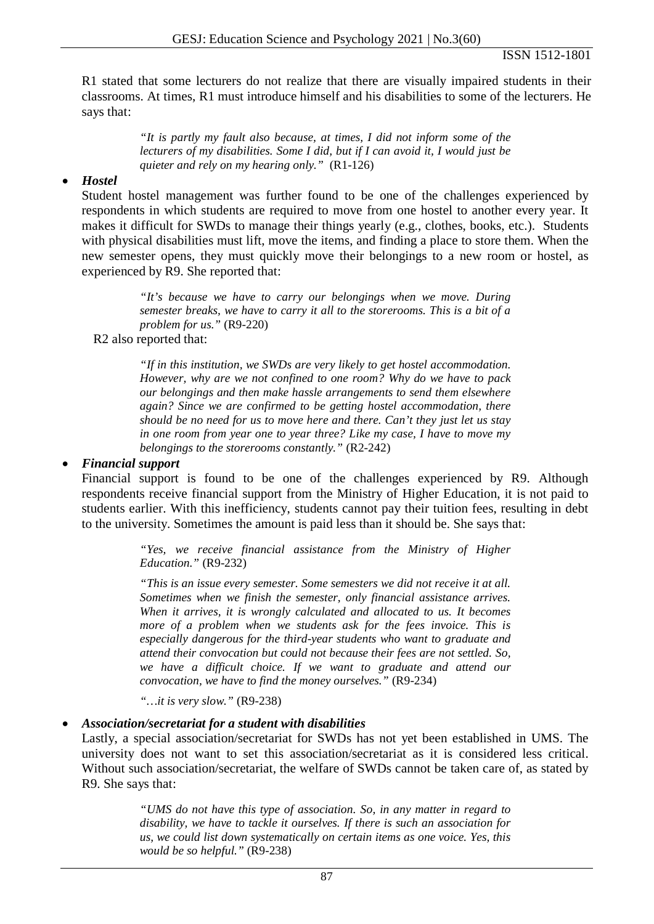R1 stated that some lecturers do not realize that there are visually impaired students in their classrooms. At times, R1 must introduce himself and his disabilities to some of the lecturers. He says that:

> *"It is partly my fault also because, at times, I did not inform some of the lecturers of my disabilities. Some I did, but if I can avoid it, I would just be quieter and rely on my hearing only."* (R1-126)

#### • *Hostel*

Student hostel management was further found to be one of the challenges experienced by respondents in which students are required to move from one hostel to another every year. It makes it difficult for SWDs to manage their things yearly (e.g., clothes, books, etc.). Students with physical disabilities must lift, move the items, and finding a place to store them. When the new semester opens, they must quickly move their belongings to a new room or hostel, as experienced by R9. She reported that:

> *"It's because we have to carry our belongings when we move. During semester breaks, we have to carry it all to the storerooms. This is a bit of a problem for us."* (R9-220)

## R2 also reported that:

*"If in this institution, we SWDs are very likely to get hostel accommodation. However, why are we not confined to one room? Why do we have to pack our belongings and then make hassle arrangements to send them elsewhere again? Since we are confirmed to be getting hostel accommodation, there should be no need for us to move here and there. Can't they just let us stay in one room from year one to year three? Like my case, I have to move my belongings to the storerooms constantly."* (R2-242)

#### • *Financial support*

Financial support is found to be one of the challenges experienced by R9. Although respondents receive financial support from the Ministry of Higher Education, it is not paid to students earlier. With this inefficiency, students cannot pay their tuition fees, resulting in debt to the university. Sometimes the amount is paid less than it should be. She says that:

> *"Yes, we receive financial assistance from the Ministry of Higher Education."* (R9-232)

> *"This is an issue every semester. Some semesters we did not receive it at all. Sometimes when we finish the semester, only financial assistance arrives. When it arrives, it is wrongly calculated and allocated to us. It becomes more of a problem when we students ask for the fees invoice. This is especially dangerous for the third-year students who want to graduate and attend their convocation but could not because their fees are not settled. So, we have a difficult choice. If we want to graduate and attend our convocation, we have to find the money ourselves."* (R9-234)

*"…it is very slow."* (R9-238)

#### • *Association/secretariat for a student with disabilities*

Lastly, a special association/secretariat for SWDs has not yet been established in UMS. The university does not want to set this association/secretariat as it is considered less critical. Without such association/secretariat, the welfare of SWDs cannot be taken care of, as stated by R9. She says that:

> *"UMS do not have this type of association. So, in any matter in regard to disability, we have to tackle it ourselves. If there is such an association for us, we could list down systematically on certain items as one voice. Yes, this would be so helpful."* (R9-238)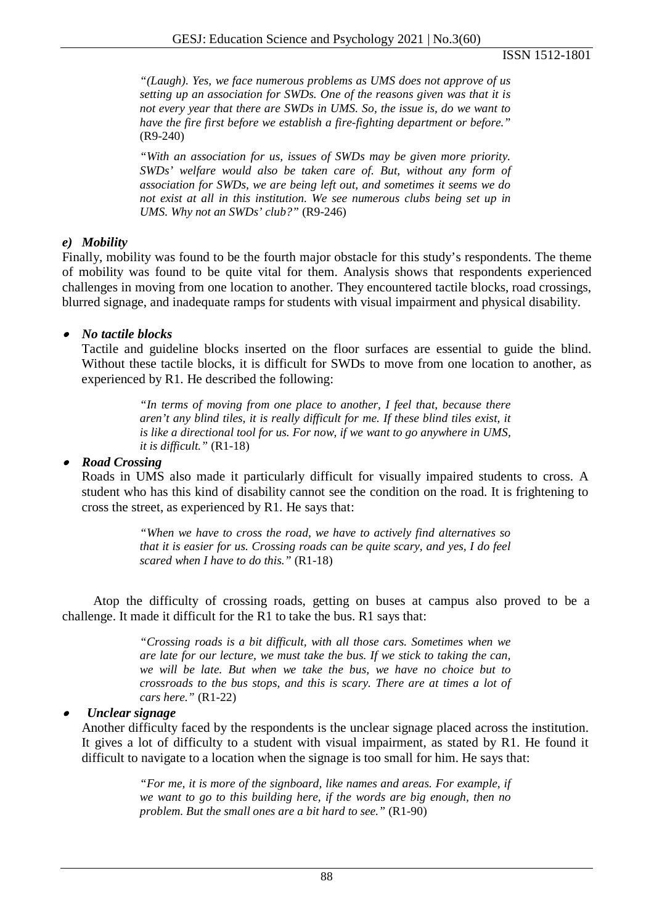*"(Laugh). Yes, we face numerous problems as UMS does not approve of us setting up an association for SWDs. One of the reasons given was that it is not every year that there are SWDs in UMS. So, the issue is, do we want to have the fire first before we establish a fire-fighting department or before."*  (R9-240)

*"With an association for us, issues of SWDs may be given more priority. SWDs' welfare would also be taken care of. But, without any form of association for SWDs, we are being left out, and sometimes it seems we do not exist at all in this institution. We see numerous clubs being set up in UMS. Why not an SWDs' club?"* (R9-246)

## *e) Mobility*

Finally, mobility was found to be the fourth major obstacle for this study's respondents. The theme of mobility was found to be quite vital for them. Analysis shows that respondents experienced challenges in moving from one location to another. They encountered tactile blocks, road crossings, blurred signage, and inadequate ramps for students with visual impairment and physical disability.

## • *No tactile blocks*

Tactile and guideline blocks inserted on the floor surfaces are essential to guide the blind. Without these tactile blocks, it is difficult for SWDs to move from one location to another, as experienced by R1. He described the following:

> *"In terms of moving from one place to another, I feel that, because there aren't any blind tiles, it is really difficult for me. If these blind tiles exist, it is like a directional tool for us. For now, if we want to go anywhere in UMS, it is difficult."* (R1-18)

## • *Road Crossing*

Roads in UMS also made it particularly difficult for visually impaired students to cross. A student who has this kind of disability cannot see the condition on the road. It is frightening to cross the street, as experienced by R1. He says that:

> *"When we have to cross the road, we have to actively find alternatives so that it is easier for us. Crossing roads can be quite scary, and yes, I do feel scared when I have to do this."* (R1-18)

Atop the difficulty of crossing roads, getting on buses at campus also proved to be a challenge. It made it difficult for the R1 to take the bus. R1 says that:

> *"Crossing roads is a bit difficult, with all those cars. Sometimes when we are late for our lecture, we must take the bus. If we stick to taking the can, we will be late. But when we take the bus, we have no choice but to crossroads to the bus stops, and this is scary. There are at times a lot of cars here."* (R1-22)

#### •*Unclear signage*

Another difficulty faced by the respondents is the unclear signage placed across the institution. It gives a lot of difficulty to a student with visual impairment, as stated by R1. He found it difficult to navigate to a location when the signage is too small for him. He says that:

> *"For me, it is more of the signboard, like names and areas. For example, if we want to go to this building here, if the words are big enough, then no problem. But the small ones are a bit hard to see."* (R1-90)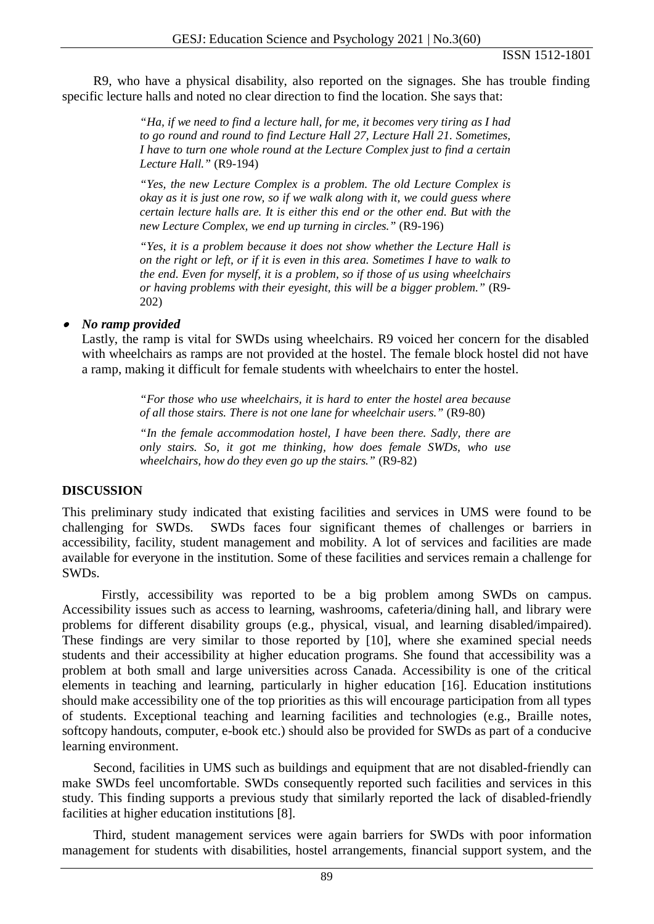R9, who have a physical disability, also reported on the signages. She has trouble finding specific lecture halls and noted no clear direction to find the location. She says that:

> *"Ha, if we need to find a lecture hall, for me, it becomes very tiring as I had to go round and round to find Lecture Hall 27, Lecture Hall 21. Sometimes, I have to turn one whole round at the Lecture Complex just to find a certain Lecture Hall."* (R9-194)

> *"Yes, the new Lecture Complex is a problem. The old Lecture Complex is okay as it is just one row, so if we walk along with it, we could guess where certain lecture halls are. It is either this end or the other end. But with the new Lecture Complex, we end up turning in circles."* (R9-196)

> *"Yes, it is a problem because it does not show whether the Lecture Hall is on the right or left, or if it is even in this area. Sometimes I have to walk to the end. Even for myself, it is a problem, so if those of us using wheelchairs or having problems with their eyesight, this will be a bigger problem."* (R9- 202)

## • *No ramp provided*

Lastly, the ramp is vital for SWDs using wheelchairs. R9 voiced her concern for the disabled with wheelchairs as ramps are not provided at the hostel. The female block hostel did not have a ramp, making it difficult for female students with wheelchairs to enter the hostel.

> *"For those who use wheelchairs, it is hard to enter the hostel area because of all those stairs. There is not one lane for wheelchair users."* (R9-80)

> *"In the female accommodation hostel, I have been there. Sadly, there are only stairs. So, it got me thinking, how does female SWDs, who use wheelchairs, how do they even go up the stairs."* (R9-82)

## **DISCUSSION**

This preliminary study indicated that existing facilities and services in UMS were found to be challenging for SWDs. SWDs faces four significant themes of challenges or barriers in accessibility, facility, student management and mobility. A lot of services and facilities are made available for everyone in the institution. Some of these facilities and services remain a challenge for SWDs.

Firstly, accessibility was reported to be a big problem among SWDs on campus. Accessibility issues such as access to learning, washrooms, cafeteria/dining hall, and library were problems for different disability groups (e.g., physical, visual, and learning disabled/impaired). These findings are very similar to those reported by [10], where she examined special needs students and their accessibility at higher education programs. She found that accessibility was a problem at both small and large universities across Canada. Accessibility is one of the critical elements in teaching and learning, particularly in higher education [16]. Education institutions should make accessibility one of the top priorities as this will encourage participation from all types of students. Exceptional teaching and learning facilities and technologies (e.g., Braille notes, softcopy handouts, computer, e-book etc.) should also be provided for SWDs as part of a conducive learning environment.

Second, facilities in UMS such as buildings and equipment that are not disabled-friendly can make SWDs feel uncomfortable. SWDs consequently reported such facilities and services in this study. This finding supports a previous study that similarly reported the lack of disabled-friendly facilities at higher education institutions [8].

Third, student management services were again barriers for SWDs with poor information management for students with disabilities, hostel arrangements, financial support system, and the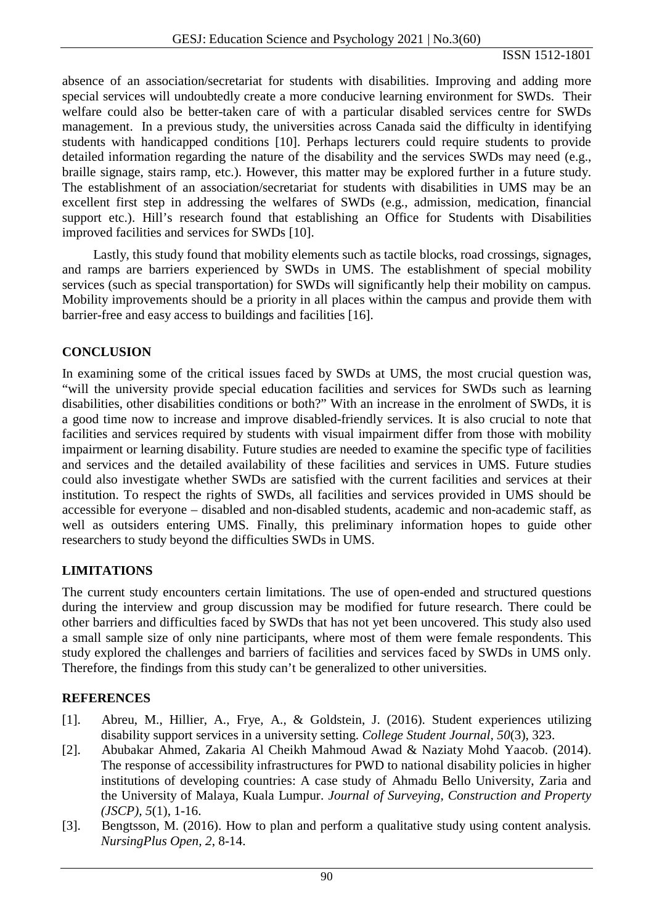absence of an association/secretariat for students with disabilities. Improving and adding more special services will undoubtedly create a more conducive learning environment for SWDs. Their welfare could also be better-taken care of with a particular disabled services centre for SWDs management. In a previous study, the universities across Canada said the difficulty in identifying students with handicapped conditions [10]. Perhaps lecturers could require students to provide detailed information regarding the nature of the disability and the services SWDs may need (e.g., braille signage, stairs ramp, etc.). However, this matter may be explored further in a future study. The establishment of an association/secretariat for students with disabilities in UMS may be an excellent first step in addressing the welfares of SWDs (e.g., admission, medication, financial support etc.). Hill's research found that establishing an Office for Students with Disabilities improved facilities and services for SWDs [10].

Lastly, this study found that mobility elements such as tactile blocks, road crossings, signages, and ramps are barriers experienced by SWDs in UMS. The establishment of special mobility services (such as special transportation) for SWDs will significantly help their mobility on campus. Mobility improvements should be a priority in all places within the campus and provide them with barrier-free and easy access to buildings and facilities [16].

## **CONCLUSION**

In examining some of the critical issues faced by SWDs at UMS, the most crucial question was, "will the university provide special education facilities and services for SWDs such as learning disabilities, other disabilities conditions or both?" With an increase in the enrolment of SWDs, it is a good time now to increase and improve disabled-friendly services. It is also crucial to note that facilities and services required by students with visual impairment differ from those with mobility impairment or learning disability. Future studies are needed to examine the specific type of facilities and services and the detailed availability of these facilities and services in UMS. Future studies could also investigate whether SWDs are satisfied with the current facilities and services at their institution. To respect the rights of SWDs, all facilities and services provided in UMS should be accessible for everyone – disabled and non-disabled students, academic and non-academic staff, as well as outsiders entering UMS. Finally, this preliminary information hopes to guide other researchers to study beyond the difficulties SWDs in UMS.

## **LIMITATIONS**

The current study encounters certain limitations. The use of open-ended and structured questions during the interview and group discussion may be modified for future research. There could be other barriers and difficulties faced by SWDs that has not yet been uncovered. This study also used a small sample size of only nine participants, where most of them were female respondents. This study explored the challenges and barriers of facilities and services faced by SWDs in UMS only. Therefore, the findings from this study can't be generalized to other universities.

#### **REFERENCES**

- [1]. Abreu, M., Hillier, A., Frye, A., & Goldstein, J. (2016). Student experiences utilizing disability support services in a university setting. *College Student Journal, 50*(3), 323.
- [2]. Abubakar Ahmed, Zakaria Al Cheikh Mahmoud Awad & Naziaty Mohd Yaacob. (2014). The response of accessibility infrastructures for PWD to national disability policies in higher institutions of developing countries: A case study of Ahmadu Bello University, Zaria and the University of Malaya, Kuala Lumpur. *Journal of Surveying, Construction and Property (JSCP), 5*(1), 1-16.
- [3]. Bengtsson, M. (2016). How to plan and perform a qualitative study using content analysis. *NursingPlus Open, 2*, 8-14.